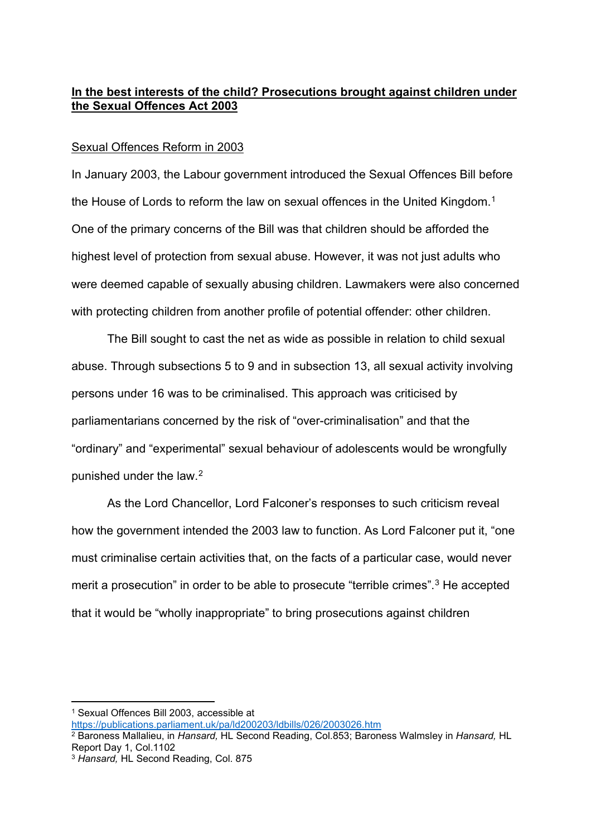## **In the best interests of the child? Prosecutions brought against children under the Sexual Offences Act 2003**

## Sexual Offences Reform in 2003

In January 2003, the Labour government introduced the Sexual Offences Bill before the House of Lords to reform the law on sexual offences in the United Kingdom.[1](#page-0-0) One of the primary concerns of the Bill was that children should be afforded the highest level of protection from sexual abuse. However, it was not just adults who were deemed capable of sexually abusing children. Lawmakers were also concerned with protecting children from another profile of potential offender: other children.

The Bill sought to cast the net as wide as possible in relation to child sexual abuse. Through subsections 5 to 9 and in subsection 13, all sexual activity involving persons under 16 was to be criminalised. This approach was criticised by parliamentarians concerned by the risk of "over-criminalisation" and that the "ordinary" and "experimental" sexual behaviour of adolescents would be wrongfully punished under the law.[2](#page-0-1)

As the Lord Chancellor, Lord Falconer's responses to such criticism reveal how the government intended the 2003 law to function. As Lord Falconer put it, "one must criminalise certain activities that, on the facts of a particular case, would never merit a prosecution" in order to be able to prosecute "terrible crimes".[3](#page-0-2) He accepted that it would be "wholly inappropriate" to bring prosecutions against children

<span id="page-0-0"></span><sup>1</sup> Sexual Offences Bill 2003, accessible at

<https://publications.parliament.uk/pa/ld200203/ldbills/026/2003026.htm>

<span id="page-0-1"></span><sup>2</sup> Baroness Mallalieu, in *Hansard,* HL Second Reading, Col.853; Baroness Walmsley in *Hansard,* HL Report Day 1, Col.1102

<span id="page-0-2"></span><sup>3</sup> *Hansard,* HL Second Reading, Col. 875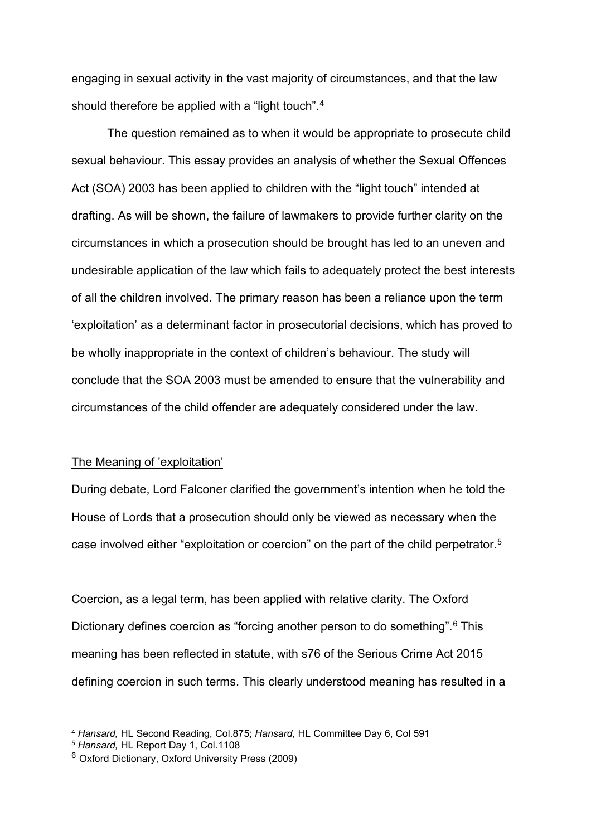engaging in sexual activity in the vast majority of circumstances, and that the law should therefore be applied with a "light touch".<sup>[4](#page-1-0)</sup>

The question remained as to when it would be appropriate to prosecute child sexual behaviour. This essay provides an analysis of whether the Sexual Offences Act (SOA) 2003 has been applied to children with the "light touch" intended at drafting. As will be shown, the failure of lawmakers to provide further clarity on the circumstances in which a prosecution should be brought has led to an uneven and undesirable application of the law which fails to adequately protect the best interests of all the children involved. The primary reason has been a reliance upon the term 'exploitation' as a determinant factor in prosecutorial decisions, which has proved to be wholly inappropriate in the context of children's behaviour. The study will conclude that the SOA 2003 must be amended to ensure that the vulnerability and circumstances of the child offender are adequately considered under the law.

#### The Meaning of 'exploitation'

During debate, Lord Falconer clarified the government's intention when he told the House of Lords that a prosecution should only be viewed as necessary when the case involved either "exploitation or coercion" on the part of the child perpetrator.[5](#page-1-1)

Coercion, as a legal term, has been applied with relative clarity. The Oxford Dictionary defines coercion as "forcing another person to do something".<sup>[6](#page-1-2)</sup> This meaning has been reflected in statute, with s76 of the Serious Crime Act 2015 defining coercion in such terms. This clearly understood meaning has resulted in a

<span id="page-1-0"></span><sup>4</sup> *Hansard,* HL Second Reading, Col.875; *Hansard,* HL Committee Day 6, Col 591

<span id="page-1-1"></span><sup>5</sup> *Hansard,* HL Report Day 1, Col.1108

<span id="page-1-2"></span><sup>6</sup> Oxford Dictionary, Oxford University Press (2009)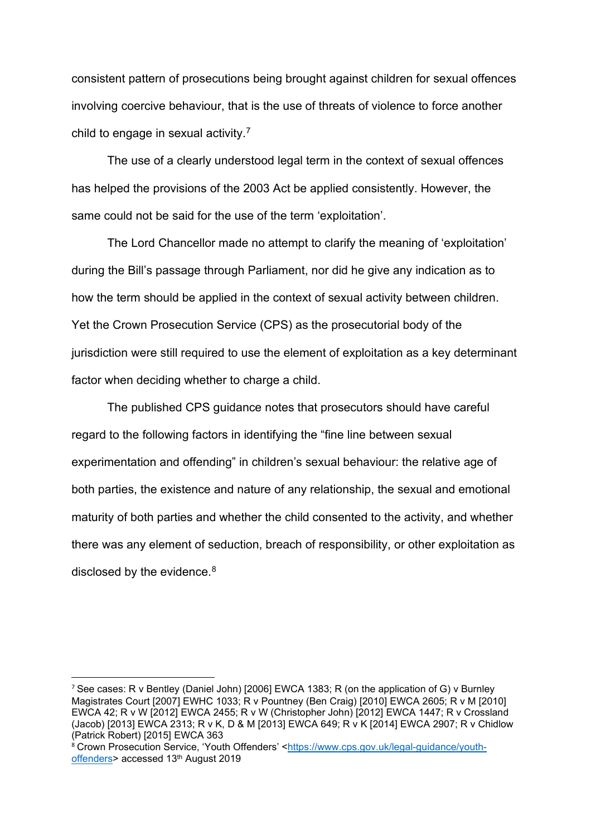consistent pattern of prosecutions being brought against children for sexual offences involving coercive behaviour, that is the use of threats of violence to force another child to engage in sexual activity.<sup>[7](#page-2-0)</sup>

The use of a clearly understood legal term in the context of sexual offences has helped the provisions of the 2003 Act be applied consistently. However, the same could not be said for the use of the term 'exploitation'.

The Lord Chancellor made no attempt to clarify the meaning of 'exploitation' during the Bill's passage through Parliament, nor did he give any indication as to how the term should be applied in the context of sexual activity between children. Yet the Crown Prosecution Service (CPS) as the prosecutorial body of the jurisdiction were still required to use the element of exploitation as a key determinant factor when deciding whether to charge a child.

The published CPS guidance notes that prosecutors should have careful regard to the following factors in identifying the "fine line between sexual experimentation and offending" in children's sexual behaviour: the relative age of both parties, the existence and nature of any relationship, the sexual and emotional maturity of both parties and whether the child consented to the activity, and whether there was any element of seduction, breach of responsibility, or other exploitation as disclosed by the evidence.<sup>[8](#page-2-1)</sup>

<span id="page-2-0"></span><sup>7</sup> See cases: R v Bentley (Daniel John) [2006] EWCA 1383; R (on the application of G) v Burnley Magistrates Court [2007] EWHC 1033; R v Pountney (Ben Craig) [2010] EWCA 2605; R v M [2010] EWCA 42; R v W [2012] EWCA 2455; R v W (Christopher John) [2012] EWCA 1447; R v Crossland (Jacob) [2013] EWCA 2313; R v K, D & M [2013] EWCA 649; R v K [2014] EWCA 2907; R v Chidlow (Patrick Robert) [2015] EWCA 363

<span id="page-2-1"></span><sup>8</sup> Crown Prosecution Service, 'Youth Offenders' [<https://www.cps.gov.uk/legal-guidance/youth](https://www.cps.gov.uk/legal-guidance/youth-offenders)[offenders>](https://www.cps.gov.uk/legal-guidance/youth-offenders) accessed 13<sup>th</sup> August 2019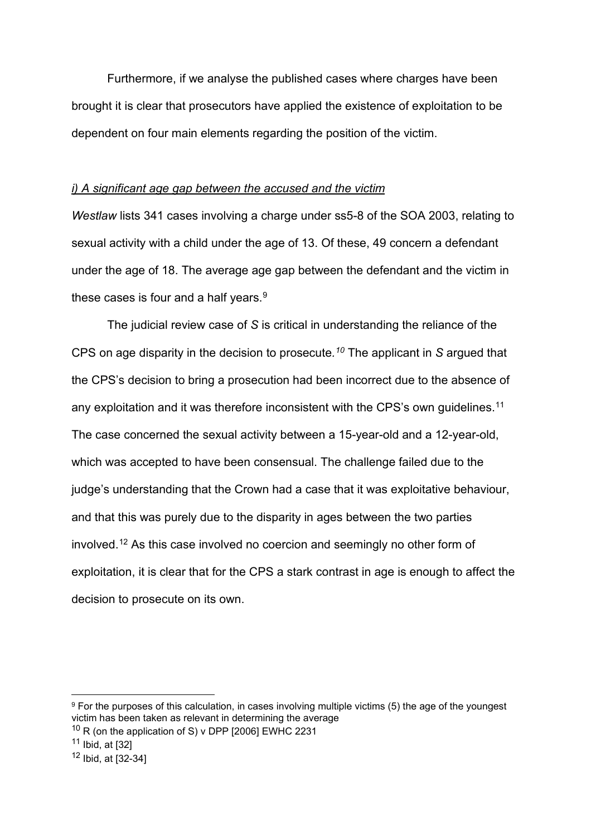Furthermore, if we analyse the published cases where charges have been brought it is clear that prosecutors have applied the existence of exploitation to be dependent on four main elements regarding the position of the victim.

### *i) A significant age gap between the accused and the victim*

*Westlaw* lists 341 cases involving a charge under ss5-8 of the SOA 2003, relating to sexual activity with a child under the age of 13. Of these, 49 concern a defendant under the age of 18. The average age gap between the defendant and the victim in these cases is four and a half years. $^9$  $^9$ 

The judicial review case of *S* is critical in understanding the reliance of the CPS on age disparity in the decision to prosecute*.[10](#page-3-1)* The applicant in *S* argued that the CPS's decision to bring a prosecution had been incorrect due to the absence of any exploitation and it was therefore inconsistent with the CPS's own guidelines.<sup>[11](#page-3-2)</sup> The case concerned the sexual activity between a 15-year-old and a 12-year-old, which was accepted to have been consensual. The challenge failed due to the judge's understanding that the Crown had a case that it was exploitative behaviour, and that this was purely due to the disparity in ages between the two parties involved.[12](#page-3-3) As this case involved no coercion and seemingly no other form of exploitation, it is clear that for the CPS a stark contrast in age is enough to affect the decision to prosecute on its own.

- <span id="page-3-1"></span> $10$  R (on the application of S) v DPP [2006] EWHC 2231
- <span id="page-3-2"></span> $11$  Ibid, at [32]

<span id="page-3-0"></span><sup>9</sup> For the purposes of this calculation, in cases involving multiple victims (5) the age of the youngest victim has been taken as relevant in determining the average

<span id="page-3-3"></span><sup>12</sup> Ibid, at [32-34]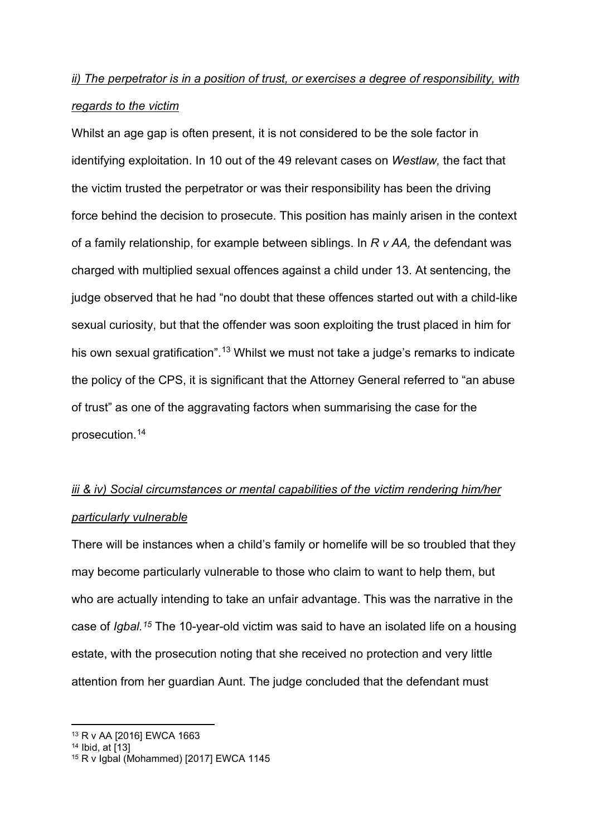# *ii) The perpetrator is in a position of trust, or exercises a degree of responsibility, with regards to the victim*

Whilst an age gap is often present, it is not considered to be the sole factor in identifying exploitation. In 10 out of the 49 relevant cases on *Westlaw,* the fact that the victim trusted the perpetrator or was their responsibility has been the driving force behind the decision to prosecute. This position has mainly arisen in the context of a family relationship, for example between siblings. In *R v AA,* the defendant was charged with multiplied sexual offences against a child under 13. At sentencing, the judge observed that he had "no doubt that these offences started out with a child-like sexual curiosity, but that the offender was soon exploiting the trust placed in him for his own sexual gratification".<sup>[13](#page-4-0)</sup> Whilst we must not take a judge's remarks to indicate the policy of the CPS, it is significant that the Attorney General referred to "an abuse of trust" as one of the aggravating factors when summarising the case for the prosecution.[14](#page-4-1)

# *iii & iv) Social circumstances or mental capabilities of the victim rendering him/her particularly vulnerable*

There will be instances when a child's family or homelife will be so troubled that they may become particularly vulnerable to those who claim to want to help them, but who are actually intending to take an unfair advantage. This was the narrative in the case of *Igbal.[15](#page-4-2)* The 10-year-old victim was said to have an isolated life on a housing estate, with the prosecution noting that she received no protection and very little attention from her guardian Aunt. The judge concluded that the defendant must

<span id="page-4-0"></span><sup>13</sup> R v AA [2016] EWCA 1663

<span id="page-4-1"></span><sup>14</sup> Ibid, at [13]

<span id="page-4-2"></span><sup>15</sup> R v Igbal (Mohammed) [2017] EWCA 1145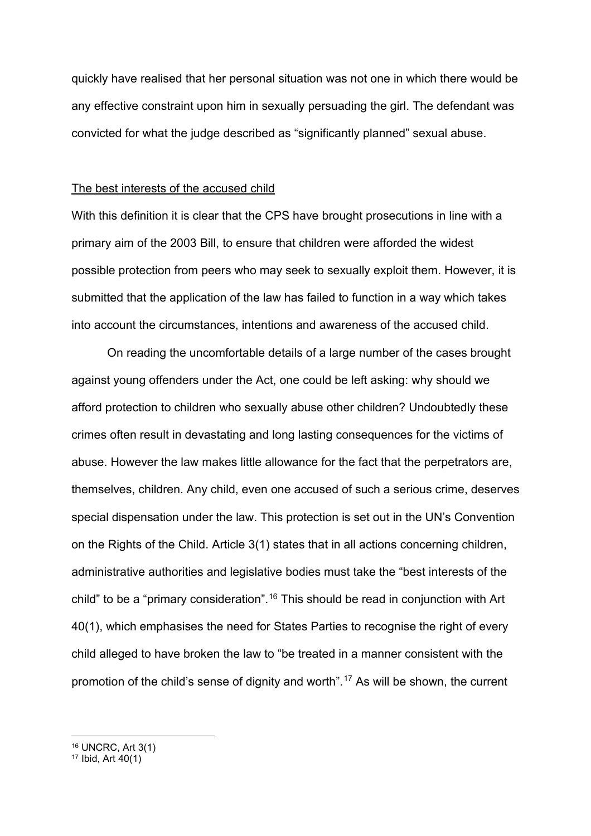quickly have realised that her personal situation was not one in which there would be any effective constraint upon him in sexually persuading the girl. The defendant was convicted for what the judge described as "significantly planned" sexual abuse.

#### The best interests of the accused child

With this definition it is clear that the CPS have brought prosecutions in line with a primary aim of the 2003 Bill, to ensure that children were afforded the widest possible protection from peers who may seek to sexually exploit them. However, it is submitted that the application of the law has failed to function in a way which takes into account the circumstances, intentions and awareness of the accused child.

On reading the uncomfortable details of a large number of the cases brought against young offenders under the Act, one could be left asking: why should we afford protection to children who sexually abuse other children? Undoubtedly these crimes often result in devastating and long lasting consequences for the victims of abuse. However the law makes little allowance for the fact that the perpetrators are, themselves, children. Any child, even one accused of such a serious crime, deserves special dispensation under the law. This protection is set out in the UN's Convention on the Rights of the Child. Article 3(1) states that in all actions concerning children, administrative authorities and legislative bodies must take the "best interests of the child" to be a "primary consideration".<sup>[16](#page-5-0)</sup> This should be read in conjunction with Art 40(1), which emphasises the need for States Parties to recognise the right of every child alleged to have broken the law to "be treated in a manner consistent with the promotion of the child's sense of dignity and worth".[17](#page-5-1) As will be shown, the current

<span id="page-5-0"></span><sup>16</sup> UNCRC, Art 3(1)

<span id="page-5-1"></span><sup>17</sup> Ibid, Art 40(1)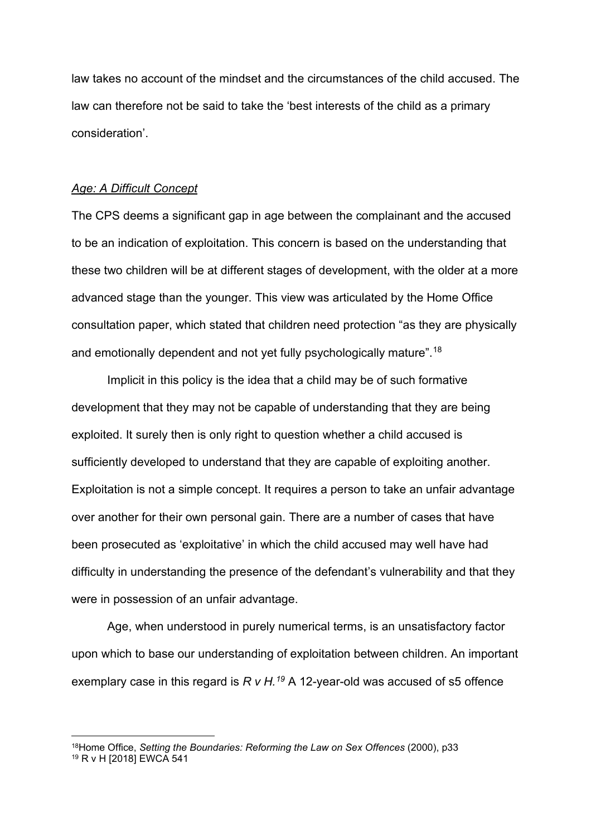law takes no account of the mindset and the circumstances of the child accused. The law can therefore not be said to take the 'best interests of the child as a primary consideration'.

#### *Age: A Difficult Concept*

The CPS deems a significant gap in age between the complainant and the accused to be an indication of exploitation. This concern is based on the understanding that these two children will be at different stages of development, with the older at a more advanced stage than the younger. This view was articulated by the Home Office consultation paper, which stated that children need protection "as they are physically and emotionally dependent and not yet fully psychologically mature".[18](#page-6-0)

Implicit in this policy is the idea that a child may be of such formative development that they may not be capable of understanding that they are being exploited. It surely then is only right to question whether a child accused is sufficiently developed to understand that they are capable of exploiting another. Exploitation is not a simple concept. It requires a person to take an unfair advantage over another for their own personal gain. There are a number of cases that have been prosecuted as 'exploitative' in which the child accused may well have had difficulty in understanding the presence of the defendant's vulnerability and that they were in possession of an unfair advantage.

Age, when understood in purely numerical terms, is an unsatisfactory factor upon which to base our understanding of exploitation between children. An important exemplary case in this regard is *R v H.[19](#page-6-1)* A 12-year-old was accused of s5 offence

<span id="page-6-1"></span><span id="page-6-0"></span><sup>18</sup>Home Office, *Setting the Boundaries: Reforming the Law on Sex Offences* (2000), p33 <sup>19</sup> R v H [2018] EWCA 541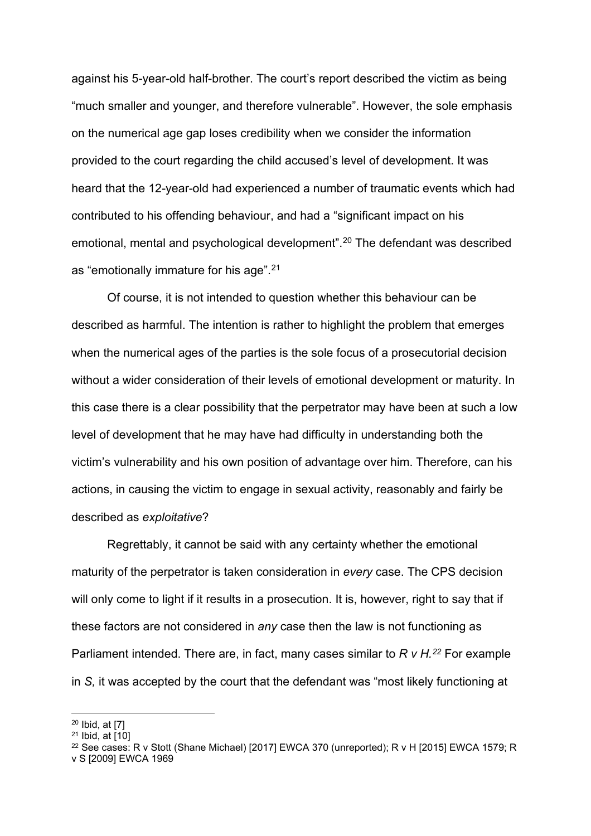against his 5-year-old half-brother. The court's report described the victim as being "much smaller and younger, and therefore vulnerable". However, the sole emphasis on the numerical age gap loses credibility when we consider the information provided to the court regarding the child accused's level of development. It was heard that the 12-year-old had experienced a number of traumatic events which had contributed to his offending behaviour, and had a "significant impact on his emotional, mental and psychological development".[20](#page-7-0) The defendant was described as "emotionally immature for his age".[21](#page-7-1)

Of course, it is not intended to question whether this behaviour can be described as harmful. The intention is rather to highlight the problem that emerges when the numerical ages of the parties is the sole focus of a prosecutorial decision without a wider consideration of their levels of emotional development or maturity. In this case there is a clear possibility that the perpetrator may have been at such a low level of development that he may have had difficulty in understanding both the victim's vulnerability and his own position of advantage over him. Therefore, can his actions, in causing the victim to engage in sexual activity, reasonably and fairly be described as *exploitative*?

Regrettably, it cannot be said with any certainty whether the emotional maturity of the perpetrator is taken consideration in *every* case. The CPS decision will only come to light if it results in a prosecution. It is, however, right to say that if these factors are not considered in *any* case then the law is not functioning as Parliament intended. There are, in fact, many cases similar to *R v H.[22](#page-7-2)* For example in *S,* it was accepted by the court that the defendant was "most likely functioning at

<span id="page-7-0"></span><sup>20</sup> Ibid, at [7]

<span id="page-7-1"></span><sup>21</sup> Ibid, at [10]

<span id="page-7-2"></span><sup>&</sup>lt;sup>22</sup> See cases: R v Stott (Shane Michael) [2017] EWCA 370 (unreported); R v H [2015] EWCA 1579; R

v S [2009] EWCA 1969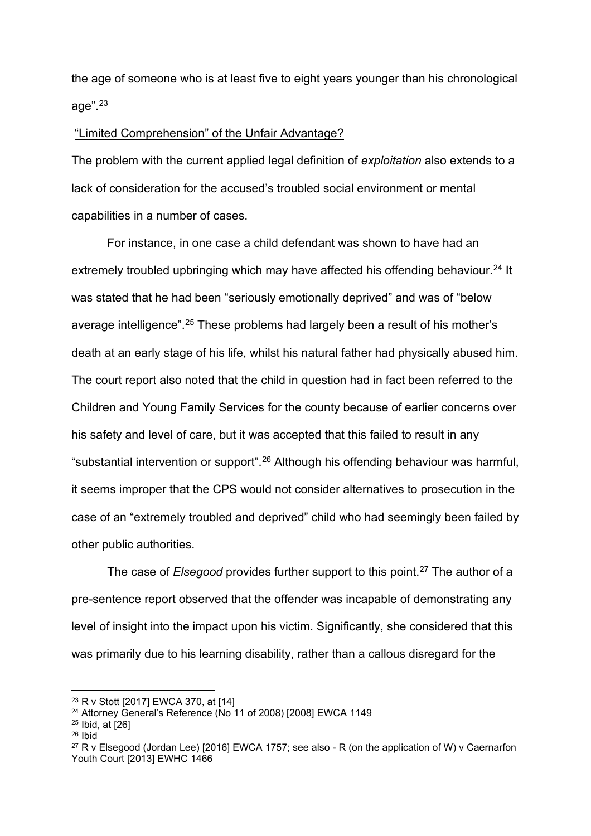the age of someone who is at least five to eight years younger than his chronological age". $23$ 

#### "Limited Comprehension" of the Unfair Advantage?

The problem with the current applied legal definition of *exploitation* also extends to a lack of consideration for the accused's troubled social environment or mental capabilities in a number of cases.

For instance, in one case a child defendant was shown to have had an extremely troubled upbringing which may have affected his offending behaviour.<sup>[24](#page-8-1)</sup> It was stated that he had been "seriously emotionally deprived" and was of "below average intelligence".<sup>[25](#page-8-2)</sup> These problems had largely been a result of his mother's death at an early stage of his life, whilst his natural father had physically abused him. The court report also noted that the child in question had in fact been referred to the Children and Young Family Services for the county because of earlier concerns over his safety and level of care, but it was accepted that this failed to result in any "substantial intervention or support".[26](#page-8-3) Although his offending behaviour was harmful, it seems improper that the CPS would not consider alternatives to prosecution in the case of an "extremely troubled and deprived" child who had seemingly been failed by other public authorities.

The case of *Elsegood* provides further support to this point.[27](#page-8-4) The author of a pre-sentence report observed that the offender was incapable of demonstrating any level of insight into the impact upon his victim. Significantly, she considered that this was primarily due to his learning disability, rather than a callous disregard for the

<span id="page-8-0"></span><sup>23</sup> R v Stott [2017] EWCA 370, at [14]

<span id="page-8-1"></span><sup>24</sup> Attorney General's Reference (No 11 of 2008) [2008] EWCA 1149

<span id="page-8-2"></span><sup>25</sup> Ibid, at [26]

<span id="page-8-3"></span><sup>26</sup> Ibid

<span id="page-8-4"></span> $27$  R v Elsegood (Jordan Lee) [2016] EWCA 1757; see also - R (on the application of W) v Caernarfon Youth Court [2013] EWHC 1466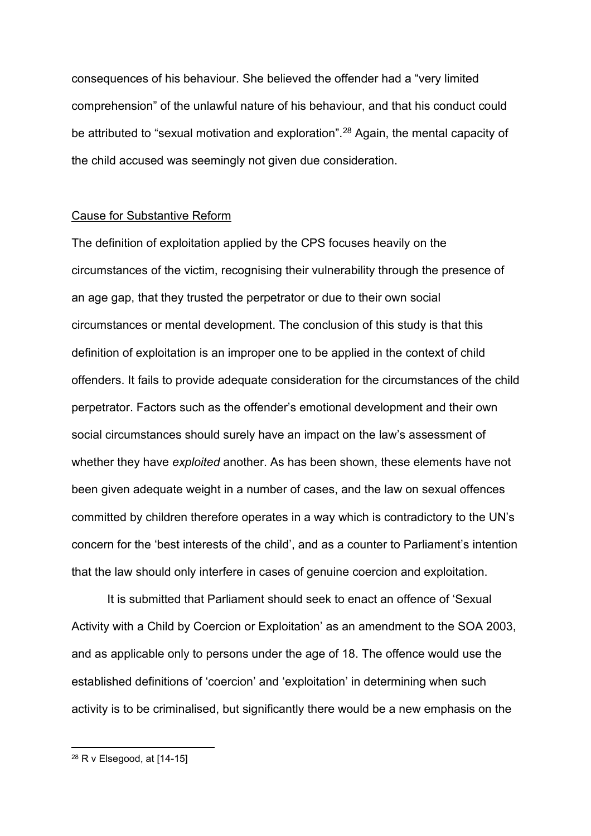consequences of his behaviour. She believed the offender had a "very limited comprehension" of the unlawful nature of his behaviour, and that his conduct could be attributed to "sexual motivation and exploration".<sup>[28](#page-9-0)</sup> Again, the mental capacity of the child accused was seemingly not given due consideration.

#### Cause for Substantive Reform

The definition of exploitation applied by the CPS focuses heavily on the circumstances of the victim, recognising their vulnerability through the presence of an age gap, that they trusted the perpetrator or due to their own social circumstances or mental development. The conclusion of this study is that this definition of exploitation is an improper one to be applied in the context of child offenders. It fails to provide adequate consideration for the circumstances of the child perpetrator. Factors such as the offender's emotional development and their own social circumstances should surely have an impact on the law's assessment of whether they have *exploited* another. As has been shown, these elements have not been given adequate weight in a number of cases, and the law on sexual offences committed by children therefore operates in a way which is contradictory to the UN's concern for the 'best interests of the child', and as a counter to Parliament's intention that the law should only interfere in cases of genuine coercion and exploitation.

It is submitted that Parliament should seek to enact an offence of 'Sexual Activity with a Child by Coercion or Exploitation' as an amendment to the SOA 2003, and as applicable only to persons under the age of 18. The offence would use the established definitions of 'coercion' and 'exploitation' in determining when such activity is to be criminalised, but significantly there would be a new emphasis on the

<span id="page-9-0"></span><sup>28</sup> R v Elsegood, at [14-15]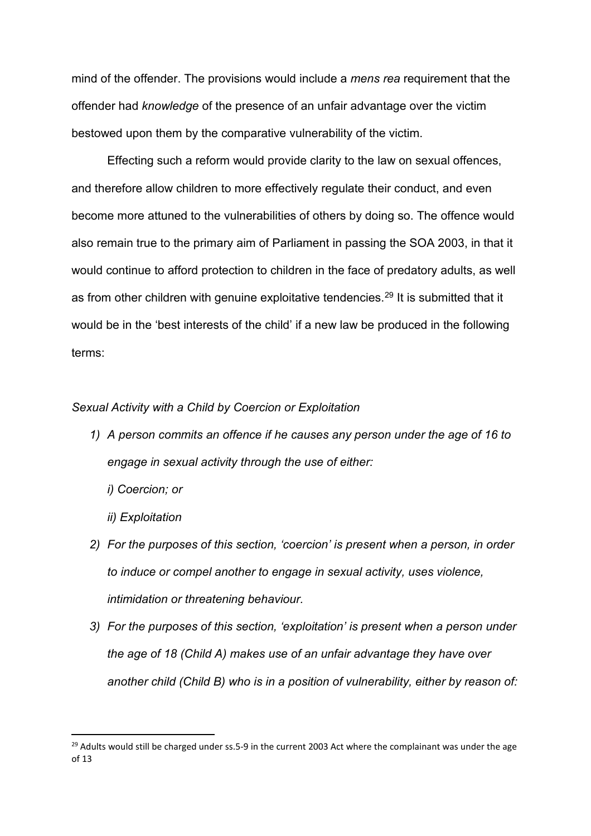mind of the offender. The provisions would include a *mens rea* requirement that the offender had *knowledge* of the presence of an unfair advantage over the victim bestowed upon them by the comparative vulnerability of the victim.

Effecting such a reform would provide clarity to the law on sexual offences, and therefore allow children to more effectively regulate their conduct, and even become more attuned to the vulnerabilities of others by doing so. The offence would also remain true to the primary aim of Parliament in passing the SOA 2003, in that it would continue to afford protection to children in the face of predatory adults, as well as from other children with genuine exploitative tendencies.<sup>[29](#page-10-0)</sup> It is submitted that it would be in the 'best interests of the child' if a new law be produced in the following terms:

### *Sexual Activity with a Child by Coercion or Exploitation*

- *1) A person commits an offence if he causes any person under the age of 16 to engage in sexual activity through the use of either:*
	- *i) Coercion; or*
	- *ii) Exploitation*
- *2) For the purposes of this section, 'coercion' is present when a person, in order to induce or compel another to engage in sexual activity, uses violence, intimidation or threatening behaviour.*
- *3) For the purposes of this section, 'exploitation' is present when a person under the age of 18 (Child A) makes use of an unfair advantage they have over another child (Child B) who is in a position of vulnerability, either by reason of:*

<span id="page-10-0"></span><sup>&</sup>lt;sup>29</sup> Adults would still be charged under ss.5-9 in the current 2003 Act where the complainant was under the age of 13